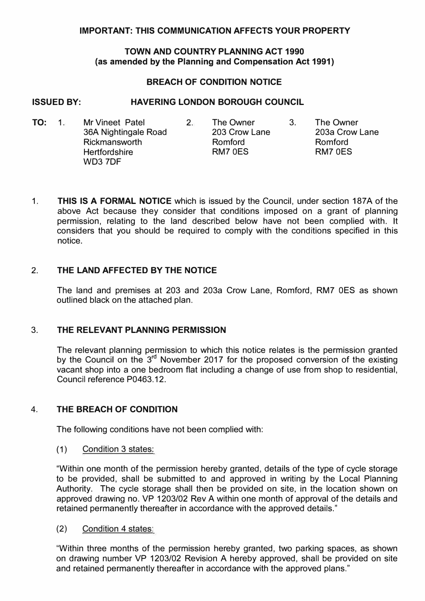### **IMPORTANT: THIS COMMUNICATION AFFECTS YOUR PROPERTY**

#### **TOWN AND COUNTRY PLANNING ACT 1990 (as amended by the Planning and Compensation Act 1991)**

### **BREACH OF CONDITION NOTICE**

### **ISSUED BY: HAVERING LONDON BOROUGH COUNCIL**

- **TO:** 1. Mr Vineet Patel 2. The Owner 3. The Owner<br>36A Nightingale Road 203 Crow Lane 203a Crow Lane 36A Nightingale Road Rickmansworth **Romford** Romford Romford<br>
Rertfordshire RM7 0ES RM7 0ES Hertfordshire WD<sub>3</sub> 7DF
	-

1. **THIS IS A FORMAL NOTICE** which is issued by the Council, under section 187A of the above Act because they consider that conditions imposed on a grant of planning permission, relating to the land described below have not been complied with. It considers that you should be required to comply with the conditions specified in this notice.

## 2. **THE LAND AFFECTED BY THE NOTICE**

The land and premises at 203 and 203a Crow Lane, Romford, RM? 0ES as shown outlined black on the attached plan.

### 3. **THE RELEVANT PLANNING PERMISSION**

The relevant planning permission to which this notice relates is the permission granted by the Council on the 3**rd** November 2017 for the proposed conversion of the existing vacant shop into a one bedroom flat including a change of use from shop to residential, Council reference P0463.12.

# **4. THE BREACH OF CONDITION**

The following conditions have not been complied with:

( 1) Condition 3 states:

"Within one month of the permission hereby granted, details of the type of cycle storage to be provided, shall be submitted to and approved in writing by the Local Planning Authority. The cycle storage shall then be provided on site, in the location shown on approved drawing no. VP 1203/02 Rev A within one month of approval of the details and retained permanently thereafter in accordance with the approved details."

(2) Condition 4 states:

"Within three months of the permission hereby granted, two parking spaces, as shown on drawing number VP 1203/02 Revision A hereby approved, shall be provided on site and retained permanently thereafter in accordance with the approved plans."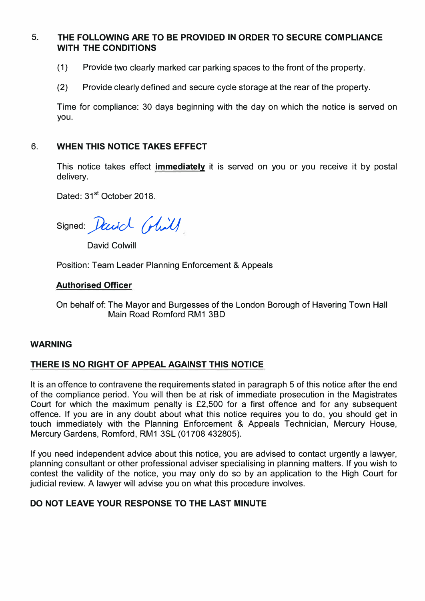### **5. THE FOLLOWING ARE TO BE PROVIDED IN ORDER TO SECURE COMPLIANCE WITH THE CONDITIONS**

- (1) Provide two clearly marked car parking spaces to the front of the property.
- (2) Provide clearly defined and secure cycle storage at the rear of the property.

Time for compliance: 30 days beginning with the day on which the notice is served on you.

## 6. **WHEN THIS NOTICE TAKES EFFECT**

This notice takes effect **immediately** it is served on you or you receive it by postal delivery.

Dated: 31<sup>st</sup> October 2018.

Signed: *David (Avil)* 

David Colwill

Position: Team Leader Planning Enforcement & Appeals

## **Authorised Officer**

On behalf of: The Mayor and Burgesses of the London Borough of Havering Town Hall Main Road Romford RM1 3BD

#### **WARNING**

# **THERE IS NO RIGHT OF APPEAL AGAINST THIS NOTICE**

It is an offence to contravene the requirements stated in paragraph 5 of this notice after the end of the compliance period. You will then be at risk of immediate prosecution in the Magistrates Court for which the maximum penalty is £2,500 for a first offence and for any subsequent offence. If you are in any doubt about what this notice requires you to do, you should get in touch immediately with the Planning Enforcement & Appeals Technician, Mercury House, Mercury Gardens, Romford, RM1 3SL (01708 432805).

If you need independent advice about this notice, you are advised to contact urgently a lawyer, planning consultant or other professional adviser specialising in planning matters. If you wish to contest the validity of the notice, you may only do so by an application to the High Court for judicial review. A lawyer will advise you on what this procedure involves.

# **DO NOT LEAVE YOUR RESPONSE TO THE LAST MINUTE**